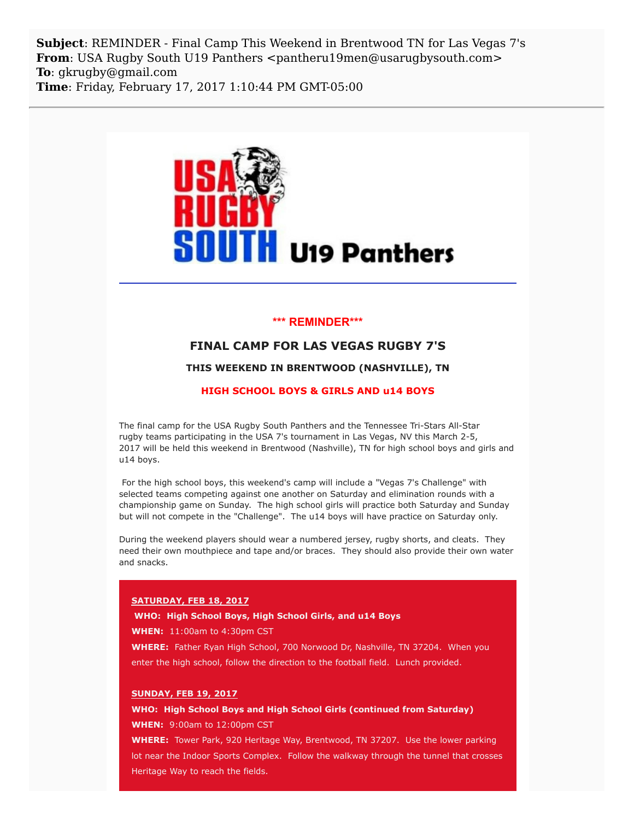**Subject**: REMINDER - Final Camp This Weekend in Brentwood TN for Las Vegas 7's **From**: USA Rugby South U19 Panthers <pantheru19men@usarugbysouth.com> **To**: gkrugby@gmail.com **Time**: Friday, February 17, 2017 1:10:44 PM GMT-05:00



# **\*\*\* REMINDER\*\*\***

# **FINAL CAMP FOR LAS VEGAS RUGBY 7'S**

### **THIS WEEKEND IN BRENTWOOD (NASHVILLE), TN**

#### **HIGH SCHOOL BOYS & GIRLS AND u14 BOYS**

The final camp for the USA Rugby South Panthers and the Tennessee Tri-Stars All-Star rugby teams participating in the USA 7's tournament in Las Vegas, NV this March 2-5, 2017 will be held this weekend in Brentwood (Nashville), TN for high school boys and girls and u14 boys.

For the high school boys, this weekend's camp will include a "Vegas 7's Challenge" with selected teams competing against one another on Saturday and elimination rounds with a championship game on Sunday. The high school girls will practice both Saturday and Sunday but will not compete in the "Challenge". The u14 boys will have practice on Saturday only.

During the weekend players should wear a numbered jersey, rugby shorts, and cleats. They need their own mouthpiece and tape and/or braces. They should also provide their own water and snacks.

### **SATURDAY, FEB 18, 2017**

## **WHO: High School Boys, High School Girls, and u14 Boys**

**WHEN:** 11:00am to 4:30pm CST

WHERE: Father Ryan High School, 700 Norwood Dr, Nashville, TN 37204. When you enter the high school, follow the direction to the football field. Lunch provided.

## **SUNDAY, FEB 19, 2017**

**WHO: High School Boys and High School Girls (continued from Saturday)**

**WHEN:** 9:00am to 12:00pm CST

**WHERE:** Tower Park, 920 Heritage Way, Brentwood, TN 37207. Use the lower parking lot near the Indoor Sports Complex. Follow the walkway through the tunnel that crosses Heritage Way to reach the fields.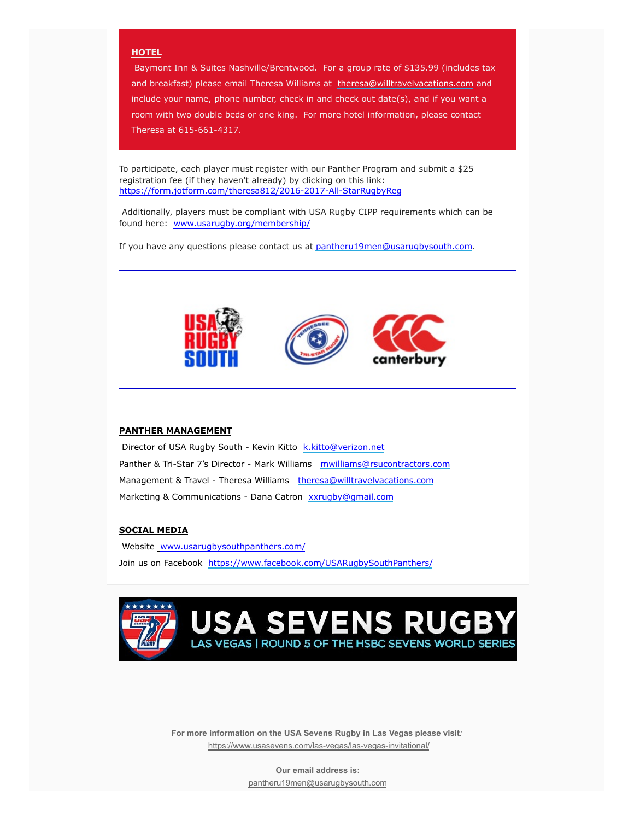## **HOTEL**

Baymont Inn & Suites Nashville/Brentwood. For a group rate of \$135.99 (includes tax and breakfast) please email Theresa Williams at [theresa@willtravelvacations.com](mailto:theresa@willtravelvacations.com) and include your name, phone number, check in and check out date(s), and if you want a room with two double beds or one king. For more hotel information, please contact Theresa at 615-661-4317.

To participate, each player must register with our Panther Program and submit a \$25 registration fee (if they haven't already) by clicking on this link: [https://form.jotform.com/theresa812/2016-2017-All-StarRugbyReg](http://usarugbysouthpanthers.us14.list-manage1.com/track/click?u=eb4b15ceee985d50206754bca&id=083f0a9b61&e=6a1545ea88)

Additionally, players must be compliant with USA Rugby CIPP requirements which can be found here: [www.usarugby.org/membership/](http://usarugbysouthpanthers.us14.list-manage.com/track/click?u=eb4b15ceee985d50206754bca&id=ac5f308850&e=6a1545ea88)

If you have any questions please contact us at [pantheru19men@usarugbysouth.com.](mailto:pantheru19men@usarugbysouth.com)



# **PANTHER MANAGEMENT**

Director of USA Rugby South - Kevin Kitto [k.kitto@verizon.net](mailto:k.kitto@verizon.net) Panther & Tri-Star 7's Director - Mark Williams [mwilliams@rsucontractors.com](mailto:mwilliams@rsucontractors.com) Management & Travel - Theresa Williams [theresa@willtravelvacations.com](mailto:theresa@willtravelvacations.com) Marketing & Communications - Dana Catron [xxrugby@gmail.com](mailto:xxrugby@gmail.com)

## **SOCIAL MEDIA**

Website www.usarugbysouthpanthers.com/ Join us on Facebook [https://www.facebook.com/USARugbySouthPanthers/](http://usarugbysouthpanthers.us14.list-manage.com/track/click?u=eb4b15ceee985d50206754bca&id=c32a913d75&e=6a1545ea88)



**For more information on the USA Sevens Rugby in Las Vegas please visit***:* [https://www.usasevens.com/las-vegas/las-vegas-invitational/](http://usarugbysouthpanthers.us14.list-manage.com/track/click?u=eb4b15ceee985d50206754bca&id=361e3c6003&e=6a1545ea88)

> **Our email address is:** [pantheru19men@usarugbysouth.com](mailto:pantheru19men@usarugbysouth.com)